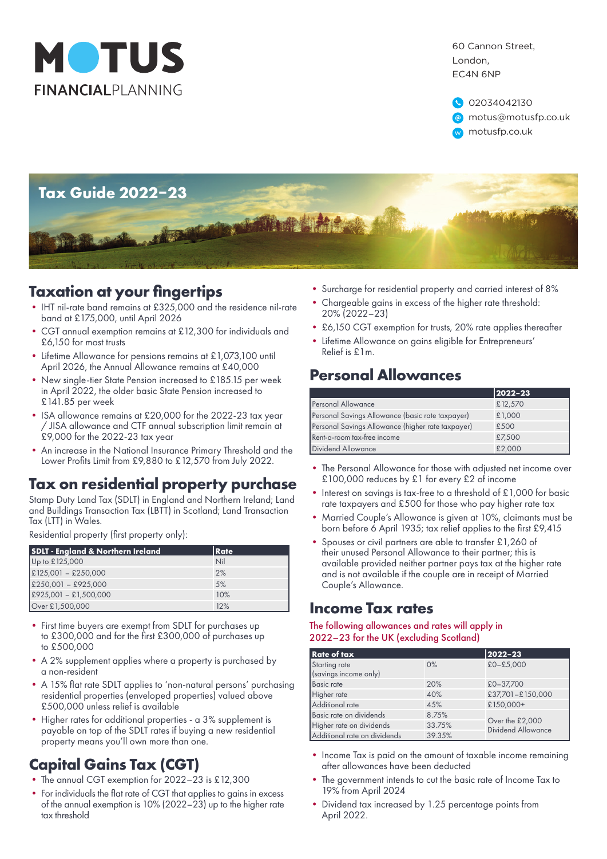

60 Cannon Street, London, EC4N 6NP

02034042130 **a** motus@motusfp.co.uk w motusfp.co.uk



#### **Taxation at your fingertips**

- IHT nil-rate band remains at £325,000 and the residence nil-rate band at £175,000, until April 2026
- CGT annual exemption remains at £12,300 for individuals and £6,150 for most trusts
- Lifetime Allowance for pensions remains at £1,073,100 until April 2026, the Annual Allowance remains at £40,000
- New single-tier State Pension increased to £185.15 per week in April 2022, the older basic State Pension increased to £141.85 per week
- ISA allowance remains at £20,000 for the 2022-23 tax year / JISA allowance and CTF annual subscription limit remain at £9,000 for the 2022-23 tax year
- An increase in the National Insurance Primary Threshold and the Lower Profits Limit from £9,880 to £12,570 from July 2022.

### **Tax on residential property purchase**

Stamp Duty Land Tax (SDLT) in England and Northern Ireland; Land and Buildings Transaction Tax (LBTT) in Scotland; Land Transaction Tax (LTT) in Wales.

Residential property (first property only):

| <b>SDLT - England &amp; Northern Ireland</b> | Rate |
|----------------------------------------------|------|
| Up to £125,000                               | Nil  |
| $E125,001 - E250,000$                        | 2%   |
| $£250,001 - £925,000$                        | 5%   |
| $E925,001 - E1,500,000$                      | 10%  |
| Over £1,500,000                              | 12%  |

- First time buyers are exempt from SDLT for purchases up to £300,000 and for the first £300,000 of purchases up to £500,000
- A 2% supplement applies where a property is purchased by a non-resident
- A 15% flat rate SDLT applies to 'non-natural persons' purchasing residential properties (enveloped properties) valued above £500,000 unless relief is available
- Higher rates for additional properties a 3% supplement is payable on top of the SDLT rates if buying a new residential property means you'll own more than one.

## **Capital Gains Tax (CGT)**

- The annual CGT exemption for 2022–23 is £12,300
- For individuals the flat rate of CGT that applies to gains in excess of the annual exemption is 10% (2022–23) up to the higher rate tax threshold
- Surcharge for residential property and carried interest of 8%
- Chargeable gains in excess of the higher rate threshold: 20% (2022–23)
- £6,150 CGT exemption for trusts, 20% rate applies thereafter
- Lifetime Allowance on gains eligible for Entrepreneurs' Relief is £1m.

# **Personal Allowances**

|                                                   | $ 2022 - 23 $ |
|---------------------------------------------------|---------------|
| <b>Personal Allowance</b>                         | £12,570       |
| Personal Savings Allowance (basic rate taxpayer)  | £1,000        |
| Personal Savings Allowance (higher rate taxpayer) | £500          |
| Rent-a-room tax-free income                       | £7,500        |
| Dividend Allowance                                | £2,000        |

- The Personal Allowance for those with adjusted net income over £100,000 reduces by £1 for every £2 of income
- Interest on savings is tax-free to a threshold of £1,000 for basic rate taxpayers and £500 for those who pay higher rate tax
- Married Couple's Allowance is given at 10%, claimants must be born before 6 April 1935; tax relief applies to the first £9,415
- Spouses or civil partners are able to transfer £1,260 of their unused Personal Allowance to their partner; this is available provided neither partner pays tax at the higher rate and is not available if the couple are in receipt of Married Couple's Allowance.

### **Income Tax rates**

#### The following allowances and rates will apply in 2022–23 for the UK (excluding Scotland)

| <b>Rate of tax</b>                     |        | 2022-23                                      |
|----------------------------------------|--------|----------------------------------------------|
| Starting rate<br>(savings income only) | $0\%$  | $£0 - £5,000$                                |
| <b>Basic rate</b>                      | 20%    | $£0-37.700$                                  |
| Higher rate                            | 40%    | £37,701-£150,000                             |
| Additional rate                        | 45%    | £150,000+                                    |
| Basic rate on dividends                | 8.75%  | Over the £2,000<br><b>Dividend Allowance</b> |
| Higher rate on dividends               | 33.75% |                                              |
| Additional rate on dividends           | 39.35% |                                              |

- Income Tax is paid on the amount of taxable income remaining after allowances have been deducted
- The government intends to cut the basic rate of Income Tax to 19% from April 2024
- Dividend tax increased by 1.25 percentage points from April 2022.